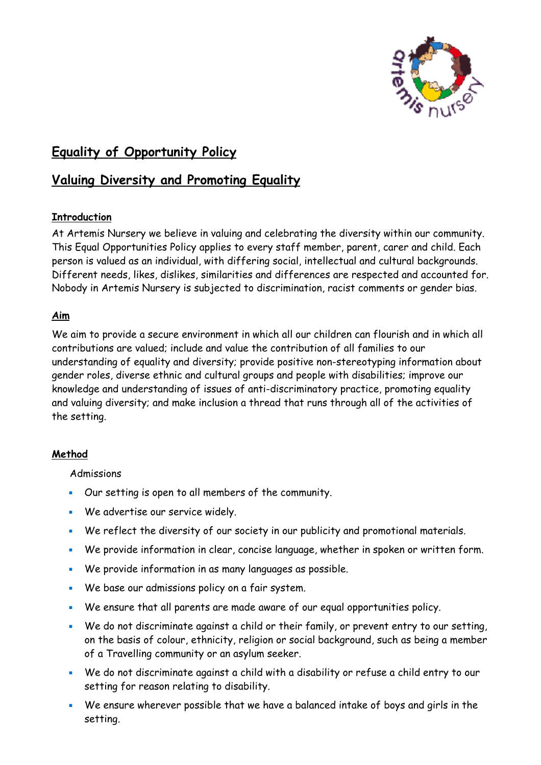

# **Equality of Opportunity Policy**

## **Valuing Diversity and Promoting Equality**

## **Introduction**

At Artemis Nursery we believe in valuing and celebrating the diversity within our community. This Equal Opportunities Policy applies to every staff member, parent, carer and child. Each person is valued as an individual, with differing social, intellectual and cultural backgrounds. Different needs, likes, dislikes, similarities and differences are respected and accounted for. Nobody in Artemis Nursery is subjected to discrimination, racist comments or gender bias.

## **Aim**

We aim to provide a secure environment in which all our children can flourish and in which all contributions are valued; include and value the contribution of all families to our understanding of equality and diversity; provide positive non-stereotyping information about gender roles, diverse ethnic and cultural groups and people with disabilities; improve our knowledge and understanding of issues of anti-discriminatory practice, promoting equality and valuing diversity; and make inclusion a thread that runs through all of the activities of the setting.

## **Method**

**Admissions** 

- Our setting is open to all members of the community.
- We advertise our service widely.
- We reflect the diversity of our society in our publicity and promotional materials.
- We provide information in clear, concise language, whether in spoken or written form.
- We provide information in as many languages as possible.
- We base our admissions policy on a fair system.
- We ensure that all parents are made aware of our equal opportunities policy.
- We do not discriminate against a child or their family, or prevent entry to our setting, on the basis of colour, ethnicity, religion or social background, such as being a member of a Travelling community or an asylum seeker.
- We do not discriminate against a child with a disability or refuse a child entry to our setting for reason relating to disability.
- We ensure wherever possible that we have a balanced intake of boys and girls in the setting.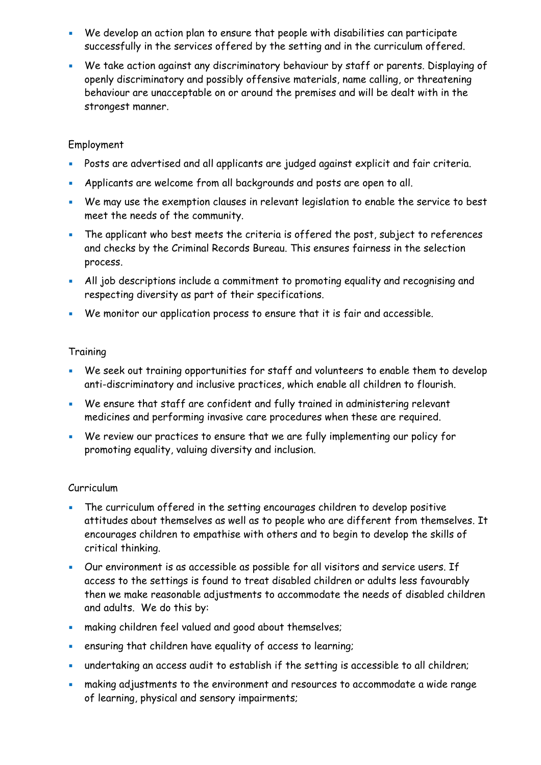- We develop an action plan to ensure that people with disabilities can participate successfully in the services offered by the setting and in the curriculum offered.
- We take action against any discriminatory behaviour by staff or parents. Displaying of openly discriminatory and possibly offensive materials, name calling, or threatening behaviour are unacceptable on or around the premises and will be dealt with in the strongest manner.

## Employment

- Posts are advertised and all applicants are judged against explicit and fair criteria.
- Applicants are welcome from all backgrounds and posts are open to all.
- We may use the exemption clauses in relevant legislation to enable the service to best meet the needs of the community.
- The applicant who best meets the criteria is offered the post, subject to references and checks by the Criminal Records Bureau. This ensures fairness in the selection process.
- All job descriptions include a commitment to promoting equality and recognising and respecting diversity as part of their specifications.
- We monitor our application process to ensure that it is fair and accessible.

### **Training**

- We seek out training opportunities for staff and volunteers to enable them to develop anti-discriminatory and inclusive practices, which enable all children to flourish.
- We ensure that staff are confident and fully trained in administering relevant medicines and performing invasive care procedures when these are required.
- We review our practices to ensure that we are fully implementing our policy for promoting equality, valuing diversity and inclusion.

### Curriculum

- **EXECT** The curriculum offered in the setting encourages children to develop positive attitudes about themselves as well as to people who are different from themselves. It encourages children to empathise with others and to begin to develop the skills of critical thinking.
- Our environment is as accessible as possible for all visitors and service users. If access to the settings is found to treat disabled children or adults less favourably then we make reasonable adjustments to accommodate the needs of disabled children and adults. We do this by:
- **EXEDENT Marking children feel valued and good about themselves;**
- **EXE** ensuring that children have equality of access to learning;
- undertaking an access audit to establish if the setting is accessible to all children;
- **EXEDENT Making adjustments to the environment and resources to accommodate a wide range** of learning, physical and sensory impairments;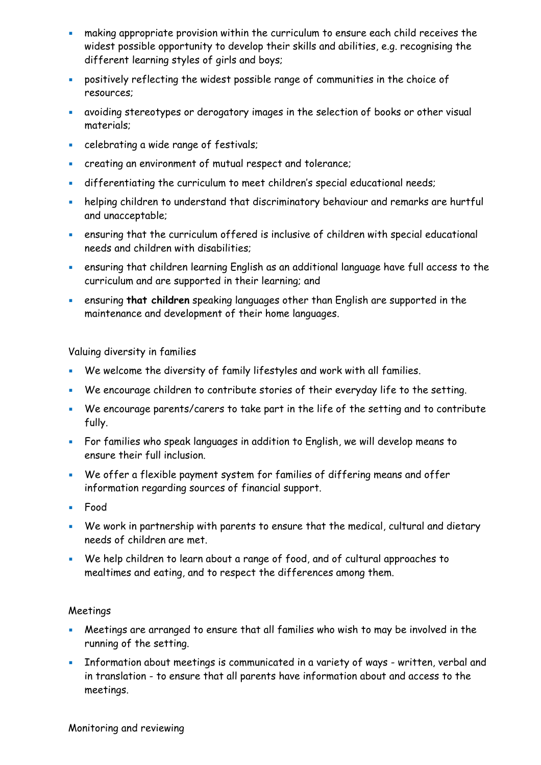- **EXECT** making appropriate provision within the curriculum to ensure each child receives the widest possible opportunity to develop their skills and abilities, e.g. recognising the different learning styles of girls and boys;
- positively reflecting the widest possible range of communities in the choice of resources;
- avoiding stereotypes or derogatory images in the selection of books or other visual materials;
- **EXEC** celebrating a wide range of festivals;
- creating an environment of mutual respect and tolerance;
- differentiating the curriculum to meet children's special educational needs;
- **EXP** helping children to understand that discriminatory behaviour and remarks are hurtful and unacceptable;
- ensuring that the curriculum offered is inclusive of children with special educational needs and children with disabilities;
- **ensuring that children learning English as an additional language have full access to the** curriculum and are supported in their learning; and
- ensuring **that children** speaking languages other than English are supported in the maintenance and development of their home languages.

Valuing diversity in families

- We welcome the diversity of family lifestyles and work with all families.
- We encourage children to contribute stories of their everyday life to the setting.
- We encourage parents/carers to take part in the life of the setting and to contribute fully.
- For families who speak languages in addition to English, we will develop means to ensure their full inclusion.
- We offer a flexible payment system for families of differing means and offer information regarding sources of financial support.
- Food
- We work in partnership with parents to ensure that the medical, cultural and dietary needs of children are met.
- We help children to learn about a range of food, and of cultural approaches to mealtimes and eating, and to respect the differences among them.

### Meetings

- **EXECT** Meetings are arranged to ensure that all families who wish to may be involved in the running of the setting.
- **EXEDENT I**nformation about meetings is communicated in a variety of ways written, verbal and in translation - to ensure that all parents have information about and access to the meetings.